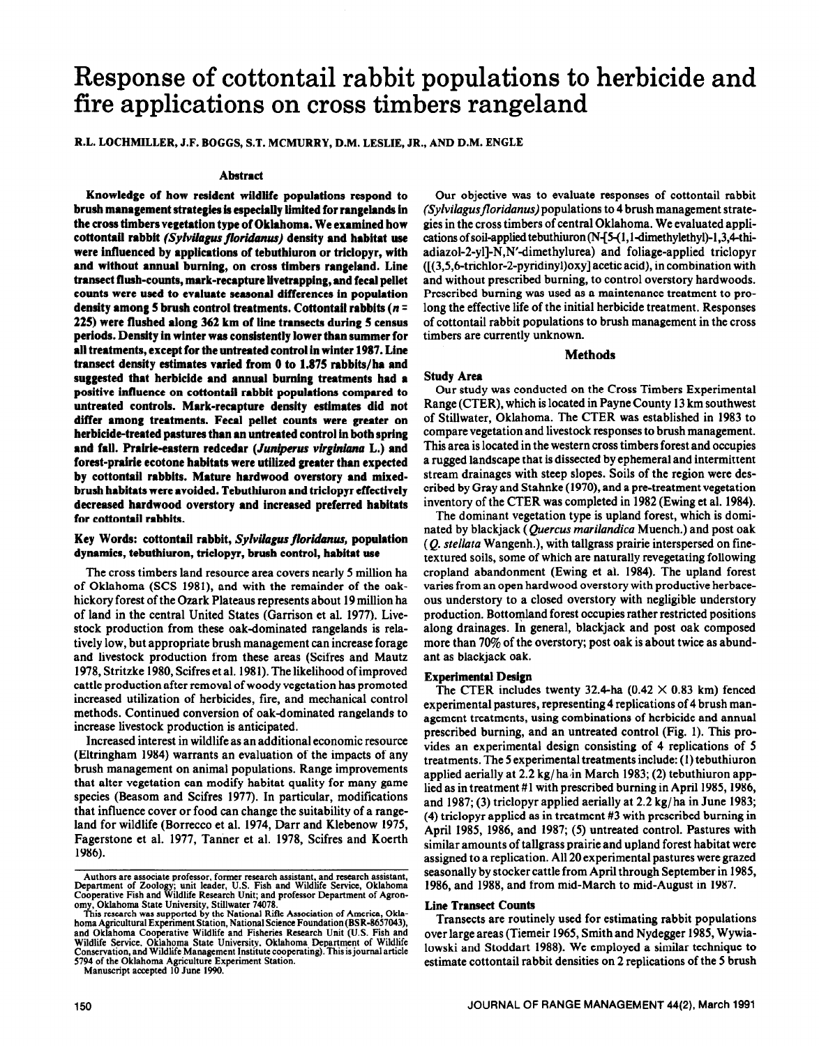# **Response of cottontail rabbit populations to herbicide and fire applications on cross timbers rangeland**

**R.L.** LOCHMILLER, J.F. BOGGS, S.T. MCMURRY, D.M. LESLIE, JR., AND D.M. ENGLE

# **Abstract**

**Knowledge of how resident wildlife populations respond to brush management strategies is especially limited for rangelands in the cross timbers vegetation type of Oklahoma. We examined how**  cottontail rabbit (Sylvilagus floridanus) density and habitat use **were hrfluenced by applications of tebuthiuron or triciopyr, with and without annual burning, on cross timbers rangeland. Line transect flush-counts, mark-recapture livetrapping, and fecal pellet counts were used to evaluate seasonal differences in population density among 5 brush control treatments. Cottontail rabbits (n = 225) were flushed along 362 km of line transects during 5 census periods. Density in winter was consistently lower than summer for all treatments, except for the untreated control in winter 1987. Line transect density estimates varied from 0 to 1.875 rabbits/ha and suggested that herbicide and annual burning treatments had a positive influence on cottontail rabbit populations compared to untreated controls. Mark-recapture density estimates did not differ among treatments. Fecal pellet counts were greater on**  herbicide-treated pastures than an untreated control in both spring and fall. Prairie-eastern redcedar (Juniperus virginiana L.) and **forest-prairie ecotone habitats were utilized greater than expected by cottontail rabbits. Mature hardwood overstory and mixedbrush habitats were avoided. Tebuthiuron and triclopyr effectively decreased hardwood overstory and increased preferred habitats for cottontail rabbits.** 

# Key Words: cottontail rabbit, Sylvilagus floridanus, population **dynamics, tebuthiuron, triclopyr, brush control, habitat use**

**The** cross timbers land resource area covers nearly 5 million ha of Oklahoma (SCS 1981), and with the remainder of the oakhickory forest of the Ozark Plateaus represents about 19 million ha of land in the central United States (Garrison et al. 1977). Livestock production from these oak-dominated rangelands is relatively low, but appropriate brush management can increase forage and livestock production from these areas (Scifres and Mautz 1978, Stritzke 1980, Scifres et al. 1981). The likelihood of improved cattle production after removal of woody vegetation has promoted increased utilization of herbicides, fire, and mechanical control methods. Continued conversion of oak-dominated rangelands to increase livestock production is anticipated.

Increased interest in wildlife as an additional economic resource (Eltringham 1984) warrants an evaluation of the impacts of any brush management on animal populations. Range improvements that alter vegetation can modify habitat quality for many game species (Beasom and Scifres 1977). In particular, modifications that influence cover or food can change the suitability of a rangeland for wildlife (Borrecco et al. 1974, Darr and Klebenow 1975, Fagerstone et al. 1977, Tanner et al. 1978, Scifres and Koerth 1986).

**Manuscript accepted 10 June 1990.** 

Our objective was to evaluate responses of cottontail rabbit *(Sylvilagusfloridanus)* populations to 4 brush management strategies in the cross timbers of central Oklahoma. We evaluated applications of soil-applied tebuthiuron  $(N+[5-(1,1-dimethyl)-1,3,4-thi$ adiazol-2-yl]-N,N'dimethylurea) and foliage-applied triclopyr ([(3,5,6-trichlor-2-pyridinyl)oxy] acetic acid), in combination with and without prescribed burning, to control overstory hardwoods. Prescribed burning was used as a maintenance treatment to prolong the effective life of the initial herbicide treatment. Responses of cottontail rabbit populations to brush management in the cross timbers are currently unknown.

#### **Methods**

## **Study Area**

Our study was conducted on the Cross Timbers Experimental Range (CTER), which is located in Payne County 13 km southwest of Stillwater, Oklahoma. The CTER was established in 1983 to compare vegetation and livestock responses to brush management. This area is located in the western cross timbers forest and occupies a rugged landscape that is dissected by ephemeral and intermittent stream drainages with steep slopes. Soils of the region were described by Gray and Stahnke (1970), and a pre-treatment vegetation inventory of the CTER was completed in 1982 (Ewing et al. 1984).

The dominant vegetation type is upland forest, which is dominated by blackjack *(Quercus marilandica* Muench.) and post oak (Q. *stellata* Wangenh.), with tallgrass prairie interspersed on finetextured soils, some of which are naturally revegetating following cropland abandonment (Ewing et al. 1984). The upland forest varies from an open hardwood overstory with productive herbaceous understory to a closed overstory with negligible understory production. Bottomland forest occupies rather restricted positions along drainages. In general, blackjack and post oak composed more than 70% of the overstory; post oak is about twice as abundant as blackjack oak.

# **Experimental Design**

The CTER includes twenty 32.4-ha  $(0.42 \times 0.83 \text{ km})$  fenced experimental pastures, representing 4 replications of 4 brush management treatments, using combinations of herbicide and annual prescribed burning, and an untreated control (Fig. 1). This provides an experimental design consisting of 4 replications of 5 treatments. The 5 experimental treatments include: (I) tebuthiuron applied aerially at 2.2 kg/ha in March 1983; (2) tebuthiuron applied as in treatment #1 with prescribed burning in April 1985, 1986, and 1987; (3) triclopyr applied aerially at 2.2 kg/ ha in June 1983; (4) triclopyr applied as in treatment #3 with prescribed burning in April 1985, 1986, and 1987; (5) untreated control. Pastures with similar amounts of tallgrass prairie and upland forest habitat were assigned to a replication. All 20 experimental pastures were grazed seasonally by stocker cattle from April through September in 1985, 1986, and 1988, and from mid-March to mid-August in 1987.

# **Line Transect Counts**

**Transects are routinely used for estimating rabbit populations over large areas (Tiemeir 1965, Smith and Nydegger 1985, Wywialowski and Stoddart 1988). We employed a similar technique to**  estimate cottontail rabbit densities on 2 replications of the 5 brush

Authors are associate professor, former research assistant, and research assistant,<br>Department of Zoology; unit leader, U.S. Fish and Wildlife Service, Oklahoma<br>Cooperative Fish and Wildlife Research Unit; and professor De **omy, Oklahoma State University, Stillwater 74078. This research was supported by the National Rifle Association of America, Okla-**

**homa Agricultural Experiment Station, National Science Foundation (BSR-8657043). and Oklahoma Cooperative Wildlife and Fisheries Research Unit (U.S. Fish and Wildlife Service, Oklahoma State University, Oklahoma Department of Wildlife Conservation, and Wildlife Management Institute cooperating). This is journal article 5794 of the Oklahoma Agriculture Experiment Station.**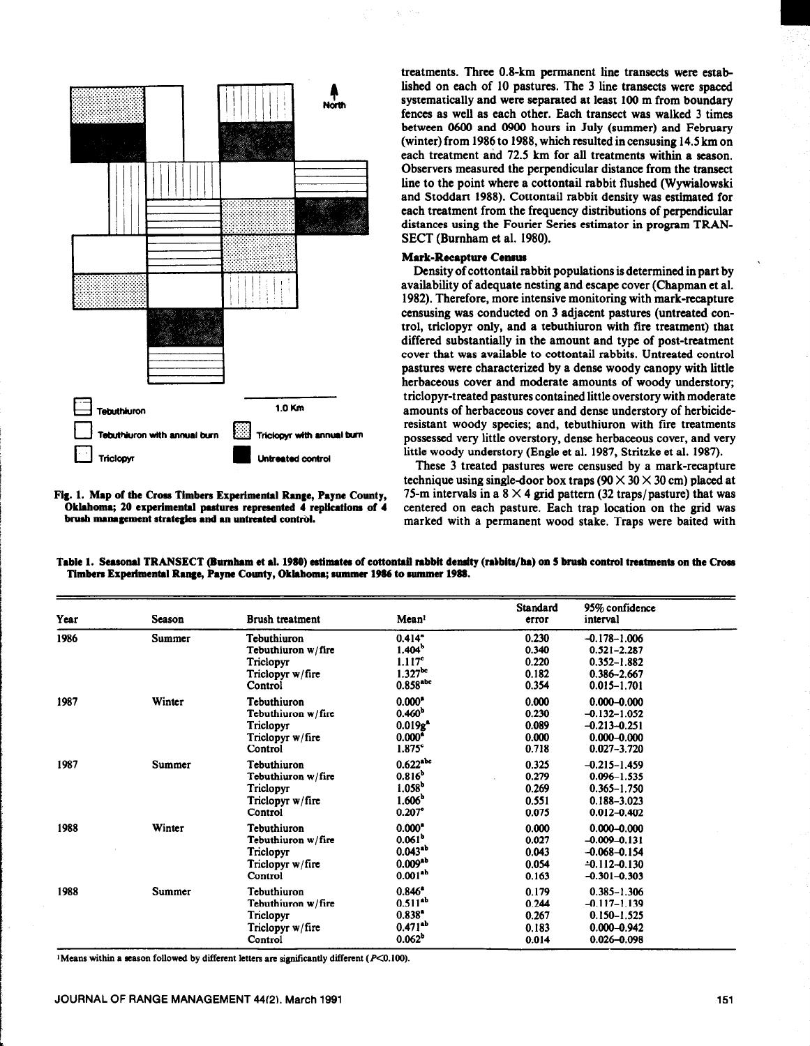



treatments. Three 0.8~km permanent line transects were established on each of 10 pastures. The 3 line transects were spaced systematically and were separated at least 100 m from boundary fences as well as each other. Each transect was walked 3 times between 0600 and 0900 hours in July (summer) and February (winter) from 1986 to 1988, which resulted in censusing 14.5 km on each treatment and 72.5 km for all treatments within a season, Observers measured the perpendicular distance from the transect line to the point where a cottontail rabbit flushed (Wywialowski and Stoddart 1988). Cottontail rabbit density was estimated for each treatment from the frequency distributions of perpendicular distances using the Fourier Series estimator in program TRAN-SECT (Bumham et al. 1980).

#### **Mark-Recapture Census**

Density of cottontail rabbit populations is determined in part by availability of adequate nesting and escape cover (Chapman et al. 1982). Therefore, more intensive monitoring with mark-recapture censusing was conducted on 3 adjacent pastures (untreated control, triclopyr only, and a tebuthiuron with fire treatment) that differed substantially in the amount and type of post-treatment cover that was available to cottontail rabbits. Untreated control pastures were characterized by a dense woody canopy with little herbaceous cover and moderate amounts of woody understory; triclopyr-treated pastures contained little overstory with moderate amounts of herbaceous cover and dense understory of herbicideresistant woody species; and, tebuthiuron with fire treatments possessed very little overstory, dense herbaceous cover, and very little woody understory (Engle et al. 1987, Stritzke et al. 1987).

These 3 treated pastures were censused by a mark-recapture technique using single-door box traps (90  $\times$  30  $\times$  30 cm) placed at 75-m intervals in a  $8 \times 4$  grid pattern (32 traps/pasture) that was centered on each pasture. Each trap location on the grid was marked with a permanent wood stake. Traps were baited with

| Year | Season | <b>Brush treatment</b>                                                        | Mean <sup>1</sup>                                                                                           | <b>Standard</b><br>error                  | 95% confidence<br>interval                                                                      |  |
|------|--------|-------------------------------------------------------------------------------|-------------------------------------------------------------------------------------------------------------|-------------------------------------------|-------------------------------------------------------------------------------------------------|--|
| 1986 | Summer | Tebuthiuron<br>Tebuthiuron w/fire<br>Triclopyr<br>Triclopyr w/fire<br>Control | $0.414$ <sup>*</sup><br>1.404 <sup>b</sup><br>1.117 <sup>c</sup><br>$1.327^{bc}$<br>0.858 <sup>abc</sup>    | 0.230<br>0.340<br>0.220<br>0.182<br>0.354 | $-0.178 - 1.006$<br>$0.521 - 2.287$<br>$0.352 - 1.882$<br>0.386-2.667<br>$0.015 - 1.701$        |  |
| 1987 | Winter | Tebuthiuron<br>Tebuthiuron w/fire<br>Triclopyr<br>Triclopyr w/fire<br>Control | $0.000*$<br>0.460 <sup>b</sup><br>0.019g <sup>2</sup><br>$0.000^*$<br>$1.875$ <sup>c</sup>                  | 0.000<br>0.230<br>0.089<br>0.000<br>0.718 | $0.000 - 0.000$<br>$-0.132 - 1.052$<br>$-0.213 - 0.251$<br>$0.000 - 0.000$<br>$0.027 - 3.720$   |  |
| 1987 | Summer | Tebuthiuron<br>Tebuthiuron w/fire<br>Triclopyr<br>Triclopyr w/fire<br>Control | $0.622$ <sup>abc</sup><br>0.816 <sup>b</sup><br>1.058 <sup>b</sup><br>1.606 <sup>b</sup><br>$0.207^{\circ}$ | 0.325<br>0.279<br>0.269<br>0.551<br>0.075 | $-0.215 - 1.459$<br>$0.096 - 1.535$<br>$0.365 - 1.750$<br>$0.188 - 3.023$<br>$0.012 - 0.402$    |  |
| 1988 | Winter | Tebuthiuron<br>Tebuthiuron w/fire<br>Triclopyr<br>Triclopyr w/fire<br>Control | $0.000$ <sup>*</sup><br>0.061 <sup>b</sup><br>$0.043^{ab}$<br>$0.009^{ab}$<br>$0.001^{ab}$                  | 0.000<br>0.027<br>0.043<br>0.054<br>0.163 | $0.000 - 0.000$<br>$-0.009 - 0.131$<br>$-0.068 - 0.154$<br>$-0.112 - 0.130$<br>$-0.301 - 0.303$ |  |
| 1988 | Summer | Tebuthiuron<br>Tebuthiuron w/fire<br>Triclopyr<br>Triclopyr w/fire<br>Control | $0.846*$<br>$0.511^{ab}$<br>$0.838$ <sup>*</sup><br>$0.471$ <sup>ab</sup><br>0.062 <sup>b</sup>             | 0.179<br>0.244<br>0.267<br>0.183<br>0.014 | $0.385 - 1.306$<br>$-0.117 - 1.139$<br>$0.150 - 1.525$<br>$0.000 - 0.942$<br>0.026-0.098        |  |

Table 1. Seasonal TRANSECT (Burnham et al. 1980) estimates of cottontail rabbit density (rabbits/ha) on 5 brush control treatments on the Cross Timbers Experimental Range, Payne County, Oklahoma; summer 1986 to summer 1988.

<sup>1</sup> Means within a season followed by different letters are significantly different ( $P<0.100$ ).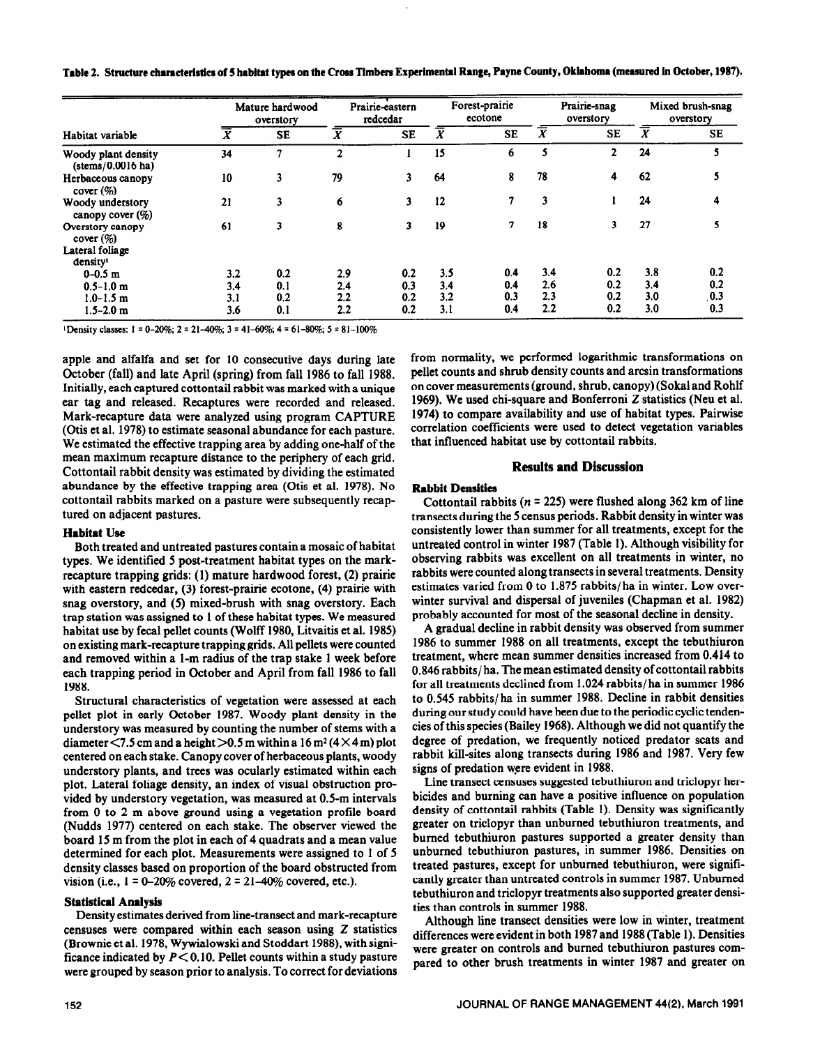|  |  |  | Table 2. Structure characteristics of 5 habitat types on the Cross Timbers Experimental Range, Payne County, Oklahoma (measured in October, 1987). |  |
|--|--|--|----------------------------------------------------------------------------------------------------------------------------------------------------|--|
|--|--|--|----------------------------------------------------------------------------------------------------------------------------------------------------|--|

|                                                           | Mature hardwood<br>overstory |           | Prairie-eastern<br>redcedar |           | Forest-prairie<br>ecotone |           | Prairie-snag<br>overstory |              | Mixed brush-snag<br>overstory |           |
|-----------------------------------------------------------|------------------------------|-----------|-----------------------------|-----------|---------------------------|-----------|---------------------------|--------------|-------------------------------|-----------|
| Habitat variable                                          | $\boldsymbol{X}$             | <b>SE</b> | X                           | <b>SE</b> | X                         | <b>SE</b> |                           | <b>SE</b>    | X                             | <b>SE</b> |
| Woody plant density<br>$(\text{stems}/0.0016 \text{ ha})$ | 34                           |           | 2                           |           | 15                        | 6         | э                         | $\mathbf{2}$ | 24                            | 5         |
| Herbaceous canopy<br>cover (%)                            | 10                           | 3         | 79                          | 3         | 64                        | 8         | 78                        | 4            | 62                            |           |
| Woody understory<br>canopy cover $(\%)$                   | 21                           | 3         | 6                           | 3         | 12                        |           | 3                         |              | 24                            |           |
| Overstory canopy<br>cover (%)                             | 61                           | 3         | 8                           | 3         | 19                        |           | 18                        | 3.           | 27                            |           |
| Lateral foliage<br>density <sup>1</sup>                   |                              |           |                             |           |                           |           |                           |              |                               |           |
| $0 - 0.5$ m                                               | 3.2                          | 0.2       | 2.9                         | 0.2       | 3.5                       | 0.4       | 3.4                       | 0.2          | 3.8                           | 0.2       |
| $0.5 - 1.0$ m                                             | 3.4                          | 0.1       | 2.4                         | 0.3       | 3.4                       | 0.4       | 2.6                       | 0.2          | 3.4                           | 0.2       |
| $1.0 - 1.5$ m                                             | 3.1                          | 0.2       | 2.2                         | 0.2       | 3.2                       | 0.3       | 2.3                       | 0.2          | 3.0                           | , 0.3     |
| $1.5 - 2.0$ m                                             | 3.6                          | 0.1       | 2.2                         | 0.2       | 3.1                       | 0.4       | 2.2                       | 0.2          | 3.0                           | 0.3       |

 $\text{1Density classes: } 1 = 0 - 20\%; 2 = 21 - 40\%; 3 = 41 - 60\%; 4 = 61 - 80\%; 5 = 81 - 100\%$ 

apple and alfalfa and set for 10 consecutive days during late October (fall) and late April (spring) from fall 1986 to fall 1988. Initially, each captured cottontail rabbit was marked with a unique ear tag and released. Recaptures were recorded and released. Mark-recapture data were analyzed using program CAPTURE (Otis et al. 1978) to estimate seasonal abundance for each pasture. We estimated the effective trapping area by adding one-half of the mean maximum recapture distance to the periphery of each grid. Cottontail rabbit density was estimated by dividing the estimated abundance by the effective trapping area (Otis et al. 1978). No cottontail rabbits marked on a pasture were subsequently recaptured on adjacent pastures.

# Habitat **Use**

Both treated and untreated pastures contain a mosaic of habitat types. We identified 5 post-treatment habitat types on the markrecapture trapping grids: (1) mature hardwood forest, (2) prairie with eastern redcedar, (3) forest-prairie ecotone, (4) prairie with snag overstory, and (5) mixed-brush with snag overstory. Each trap station was assigned to 1 of these habitat types. We measured habitat use by fecal pellet counts (Wolff 1980, Litvaitis et al. 1985) on existing mark-recapture trapping grids. All pellets were counted and removed within a l-m radius of the trap stake 1 week before each trapping period in October and April from fall 1986 to fall 1988.

Structural characteristics of vegetation were assessed at each pellet plot in early October 1987. Woody plant density in the understory was measured by counting the number of stems with a diameter  $\leq$ 7.5 cm and a height  $>$ 0.5 m within a 16 m<sup>2</sup> (4  $\times$  4 m) plot centered on each stake. Canopy cover of herbaceous plants, woody understory plants, and trees was ocularly estimated within each plot. Lateral foliage density, an index of visual obstruction provided by understory vegetation, was measured at 0.5-m intervals from 0 to 2 m above ground using a vegetation profile board (Nudds 1977) centered on each stake. The observer viewed the board 15 m from the plot in each of 4 quadrats and a mean value determined for each plot. Measurements were assigned to 1 of 5 density classes based on proportion of the board obstructed from vision (i.e.,  $1 = 0 - 20\%$  covered,  $2 = 21 - 40\%$  covered, etc.).

# **Statistical Analysis**

**Density estimates derived from line-transect and mark-recapture**  censuses were compared within each season using 2 statistics (Brownie et al. 1978, Wywialowski and Stoddart 1988), with significance indicated by *P < 0.10.* Pellet counts within a study pasture were grouped by season prior to analysis. To correct for deviations from normality, we performed logarithmic transformations on pellet counts and shrub density counts and arcsin transformations on cover measurements (ground, shrub, canopy) (Sokal and Rohlf 1969). We used chi-square and Bonferroni Z statistics (Neu et al. 1974) to compare availability and use of habitat types. Pairwise correlation coefficients were used to detect vegetation variables that influenced habitat use by cottontail rabbits.

# **Results and Discussion**

# **Rabbit Densities**

Cottontail rabbits ( $n = 225$ ) were flushed along 362 km of line transects during the 5 census periods. Rabbit density in winter was consistently lower than summer for all treatments, except for the untreated control in winter 1987 (Table 1). Although visibility for observing rabbits was excellent on all treatments in winter, no rabbits were counted along transects in several treatments. Density estimates varied from 0 to 1.875 rabbits/ ha in winter. Low overwinter survival and dispersal of juveniles (Chapman et al. 1982) probably accounted for most of the seasonal decline in density.

A gradual decline in rabbit density was observed from summer 1986 to summer 1988 on all treatments, except the tebuthiuron treatment, where mean summer densities increased from 0.414 to 0.846 rabbits/ ha. The mean estimated density of cottontail rabbits for all treatments declined from 1.024 rabbits/ ha in summer 1986 to 0.545 rabbits/ ha in summer 1988. Decline in rabbit densities during our study could have been due to the periodic cyclic tendencies of this species (Bailey 1968). Although we did not quantify the degree of predation, we frequently noticed predator scats and rabbit kill-sites along transects during 1986 and 1987. Very few signs of predation were evident in 1988.

Line transect censuses suggested tebuthiuron and triclopyr herbicides and burning can have a positive influence on population density of cottontail rabbits (Table 1). Density was significantly greater on triclopyr than unburned tebuthiuron treatments, and burned tebuthiuron pastures supported a greater density than unburned tebuthiuron pastures, in summer 1986. Densities on treated pastures, except for unburned tebuthiuron, were significantly greater than untreated controls in summer 1987. Unburned tebuthiuron and triclopyr treatments also supported greater densities than controls in summer 1988.

Although line transect densities were low in winter, treatment differences were evident in both 1987 and 1988 (Table 1). Densities were greater on controls and burned tebuthiuron pastures compared to other brush treatments in winter 1987 and greater on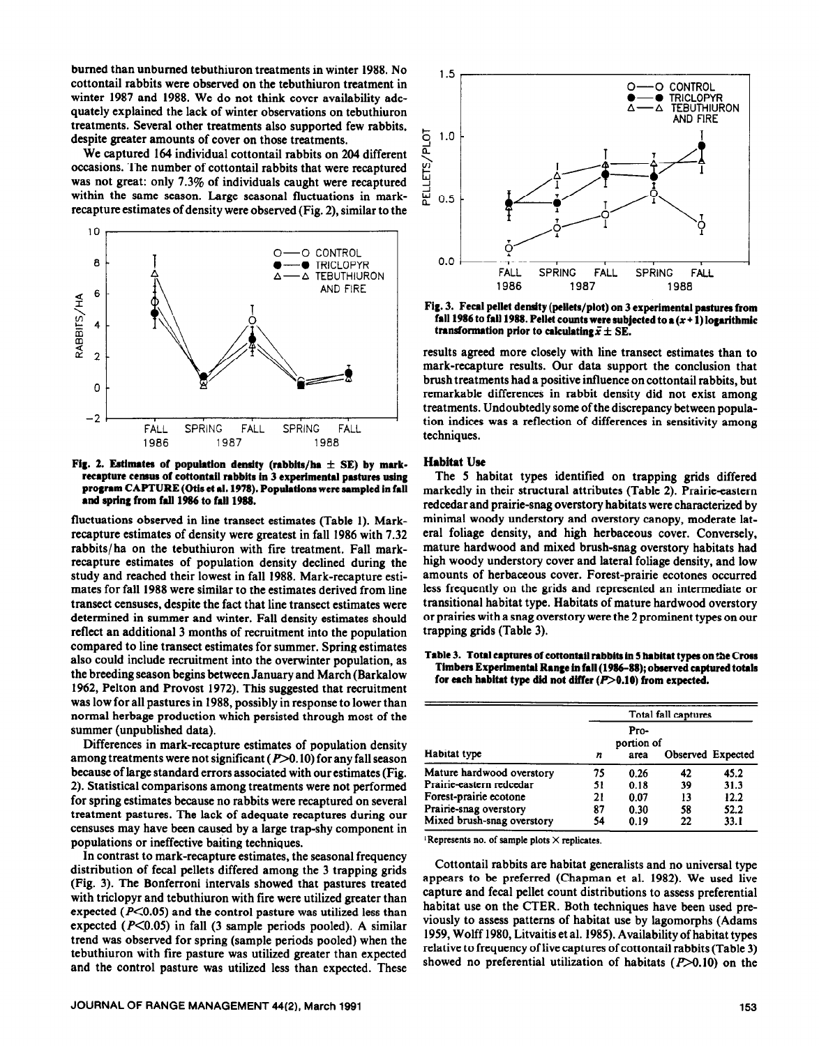burned than unburned tebuthiuron treatments in winter 1988. No cottontail rabbits were observed on the tebuthiuron treatment in winter 1987 and 1988. We do not think cover availability adequately explained the lack of winter observations on tebuthiuron treatments. Several other treatments also supported few rabbits, despite greater amounts of cover on those treatments.

We captured 164 individual cottontail rabbits on 204 different occasions. The number of cottontail rabbits that were recaptured was not great: only 7.3% of individuals caught were recaptured within the same season. Large seasonal fluctuations in markrecapture estimates of density were observed (Fig. 2), similar to the



Fig. 2. Estimates of population density (rabbits/ha  $\pm$  SE) by mark**recapture census of cottontail rabbits in** 3 **experimental pastures using program** CAPTURE (Otis **et al. 1978). Populations were sampled in fall and spring from fell 1986 to fall 1988.** 

fluctuations observed in line transect estimates (Table 1). Markrecapture estimates of density were greatest in fall 1986 with 7.32 rabbits/ha on the tebuthiuron with fire treatment. Fall markrecapture estimates of population density declined during the study and reached their lowest in fall 1988. Mark-recapture estimates for fall 1988 were similar to the estimates derived from line transect censuses, despite the fact that line transect estimates were determined in summer and winter. Fall density estimates should reflect an additional 3 months of recruitment into the population compared to line transect estimates for summer. Spring estimates also could include recruitment into the overwinter population, as the breeding season begins between January and March (Barkalow 1962, Pelton and Provost 1972). This suggested that recruitment was low for all pastures in 1988, possibly in response to lower than normal herbage production which persisted through most of the summer (unpublished data).

Differences in mark-recapture estimates of population density among treatments were not significant  $(P>0.10)$  for any fall season because of large standard errors associated with our estimates (Fig. 2). Statistical comparisons among treatments were not performed for spring estimates because no rabbits were recaptured on several treatment pastures. The lack of adequate recaptures during our censuses may have been caused by a large trap-shy component in populations or ineffective baiting techniques.

In contrast to mark-recapture estimates, the seasonal frequency distribution of fecal pellets differed among the 3 trapping grids (Fig. 3). The Bonferroni intervals showed that pastures treated with triclopyr and tebuthiuron with fire were utilized greater than expected  $(P<0.05)$  and the control pasture was utilized less than expected  $(P<0.05)$  in fall (3 sample periods pooled). A similar trend was observed for spring (sample periods pooled) when the tebuthiuron with fire pasture was utilized greater than expected and the control pasture was utilized less than expected. These



**Fig. 3. Fecal pellet density (pellets/plot) on** 3 **experimental pestures from fall 1986 to fall 1988. Pellet counts were subjected to a (x + 1) logarithmic transformation prior to calculating**  $\bar{x} \pm \text{SE}$ **.** 

results agreed more closely with line transect estimates than to mark-recapture results. Our data support the conclusion that brush treatments had a positive influence on cottontail rabbits, but remarkable differences in rabbit density did not exist among treatments. Undoubtedly some of the discrepancy between population indices was a reflection of differences in sensitivity among techniques.

## **Habitat Use**

The 5 habitat types identified on trapping grids differed markedly in their structural attributes (Table 2). Prairie-eastern redcedar and prairie-snag overstory habitats were characterized by minimal woody understory and overstory canopy, moderate lateral foliage density, and high herbaceous cover. Conversely, mature hardwood and mixed brush-snag overstory habitats had high woody understory cover and lateral foliage density, and low amounts of herbaceous cover. Forest-prairie ecotones occurred less frequently on the grids and represented an intermediate or transitional habitat type. Habitats of mature hardwood overstory or prairies with a snag overstory were the 2 prominent types on our trapping grids (Table 3).

**Table 3. Total captures of cottontail rabbits in 5 hebitet types on \*Ae Cross Timbers Experimental Range in fall (1986-88); observed captured totals**  for each habitat type did not differ (P>0.10) from expected.

|                            | Total fall captures |                            |    |                   |  |  |  |  |
|----------------------------|---------------------|----------------------------|----|-------------------|--|--|--|--|
| Habitat type               | n                   | Рго-<br>portion of<br>агеа |    | Observed Expected |  |  |  |  |
| Mature hardwood overstory  | 75                  | 0.26                       | 42 | 45.2              |  |  |  |  |
| Prairie-eastern redcedar   | 51                  | 0.18                       | 39 | 31.3              |  |  |  |  |
| Forest-prairie ecotone     | 21                  | 0.07                       | 13 | 12.2              |  |  |  |  |
| Prairie-snag overstory     | 87                  | 0.30                       | 58 | 52.2              |  |  |  |  |
| Mixed brush-snag overstory | 54                  | 0.19                       | 22 | 33.1              |  |  |  |  |

Represents no. of sample plots  $\times$  replicates.

Cottontail rabbits are habitat generalists and no universal type appears to be preferred (Chapman et al. 1982). We used live capture and fecal pellet count distributions to assess preferential habitat use on the CTER. Both techniques have been used previously to assess patterns of habitat use by lagomorphs (Adams 1959, Wolff 1980, Litvaitis et al. 1985). Availability of habitat types relative to frequency of live captures of cottontail rabbits (Table 3) showed no preferential utilization of habitats  $(P>0.10)$  on the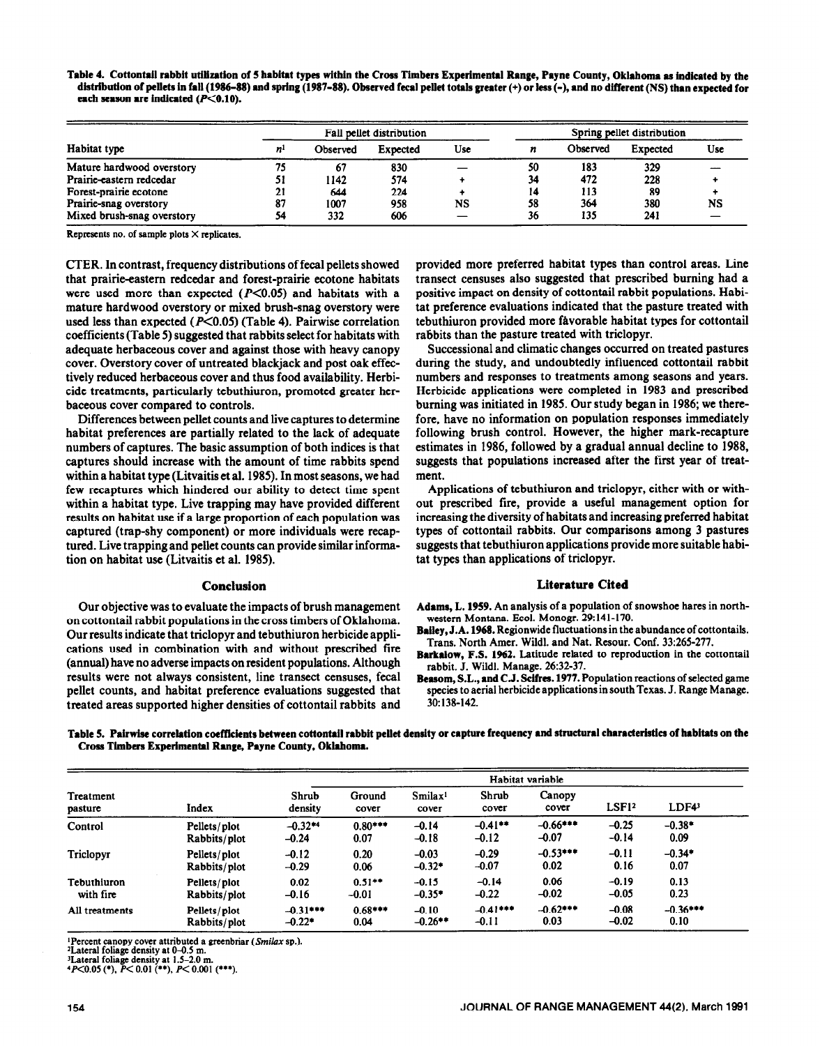Table 4. Cottontail rabbit utilization of 5 habitat types within the Cross Timbers Experimental Range, Payne County, Oklahoma as indicated by the **distribution of pellets in fall (1986-88) and spring (1987-88). Observed fecal pellet totals greater (+) or less (-), and no different (NS) than expected for**  each season are indicated (P<0.10).

|                            |    | Fall pellet distribution |          |     |    | Spring pellet distribution |          |            |  |
|----------------------------|----|--------------------------|----------|-----|----|----------------------------|----------|------------|--|
| Habitat type               | n  | Observed                 | Expected | Use |    | Observed                   | Expected | <b>Use</b> |  |
| Mature hardwood overstory  | 75 | 67                       | 830      |     | 50 | 183                        | 329      |            |  |
| Prairie-eastern redcedar   | 51 | 1142                     | 574      |     | 34 | 472                        | 228      |            |  |
| Forest-prairie ecotone     | 21 | 644                      | 224      |     | 14 | 113                        | 89       |            |  |
| Prairie-snag overstory     | 87 | 1007                     | 958      | NS  | 58 | 364                        | 380      | NS         |  |
| Mixed brush-snag overstory | 54 | 332                      | 606      |     | 36 | 135                        | 241      |            |  |

**Rcprcscnts no. of sample plots X replicates.** 

CTER. In contrast, frequency distributions of fecal pellets showed that prairie-eastern redcedar and forest-prairie ecotone habitats were used more than expected  $(P<0.05)$  and habitats with a mature hardwood overstory or mixed brush-snag overstory were used less than expected ( $P \le 0.05$ ) (Table 4). Pairwise correlation coefficients (Table 5) suggested that rabbits select for habitats with adequate herbaceous cover and against those with heavy canopy cover. Overstory cover of untreated blackjack and post oak effectively reduced herbaceous cover and thus food availability. Herbicide treatments, particularly tebuthiuron, promoted greater herbaceous cover compared to controls.

Differences between pellet counts and live captures to determine habitat preferences are partially related to the lack of adequate numbers of captures. The basic assumption of both indices is that captures should increase with the amount of time rabbits spend within a habitat type (Litvaitis et al. 1985). In most seasons, we had few recaptures which hindered our ability to detect time spent within a habitat type. Live trapping may have provided different results on habitat use if a large proportion of each population was captured (trap-shy component) or more individuals were recaptured. Live trapping and pellet counts can provide similar information on habitat use (Litvaitis et al. 1985).

Our objective was to evaluate the impacts of brush management on cottontail rabbit populations in the cross timbers of Oklahoma. Our results indicate that triclopyr and tebuthiuron herbicide applications used in combination with and without prescribed fire (annual) have no adverse impacts on resident populations. Although results were not always consistent, line transect censuses, fecal pellet counts, and habitat preference evaluations suggested that treated areas supported higher densities of cottontail rabbits and provided more preferred habitat types than control areas. Line transect censuses also suggested that prescribed burning had a positive impact on density of cottontail rabbit populations. Habitat preference evaluations indicated that the pasture treated with tebuthiuron provided more favorable habitat types for cottontail rabbits than the pasture treated with triclopyr.

Successional and climatic changes occurred on treated pastures during the study, and undoubtedly influenced cottontail rabbit numbers and responses to treatments among seasons and years. Herbicide applications were completed in 1983 and prescribed burning was initiated in 1985. Our study began in 1986; we therefore, have no information on population responses immediately following brush control. However, the higher mark-recapture estimates in 1986, followed by a gradual annual decline to 1988, suggests that populations increased after the first year of treatment.

Applications of tebuthiuron and triclopyr, either with or without prescribed fire, provide a useful management option for increasing the diversity of habitats and increasing preferred habitat types of cottontail rabbits. Our comparisons among 3 pastures suggests that tebuthiuron applications provide more suitable habitat types than applications of triclopyr.

# **Conclusion Literature Cited**

- Adams, L. 1959. An analysis of a population of snowshoe hares in northwestern Montana. Ecol. Monogr. 29:141-170.
- **Bailey, J.A. 1968.** Regionwide fluctuations in the abundance of cottontails. Trans. North Amer. Wildl. and Nat. Resour. Conf. 33:265-277.
- **Barkalow, F.S. 1962.** Latitude related to reproduction in the cottontail rabbit. J. Wild]. Manage. 26:32-37.
- Beasom, S.L., and C.J. Scifres. 1977. Population reactions of selected game species to aerial herbicide applications in south Texas. J. Range Manage. 30:138-142.

**Table 5. Pairwise correlation coefficients between cottontail rabbit pellet density or capture frequency and structural characteristics of habitats on the Cross Timbers Experimental Range, Payne County, Oklahoma.** 

|                      |              |                  | Habitat variable |                              |                |                 |         |            |  |
|----------------------|--------------|------------------|------------------|------------------------------|----------------|-----------------|---------|------------|--|
| Treatment<br>pasture | Index        | Shrub<br>density | Ground<br>cover  | Smilax <sup>1</sup><br>cover | Shrub<br>cover | Canopy<br>cover | LSF12   | LDF43      |  |
| Control              | Pellets/plot | $-0.32**$        | $0.80***$        | $-0.14$                      | $-0.41**$      | $-0.66***$      | $-0.25$ | $-0.38*$   |  |
|                      | Rabbits/plot | $-0.24$          | 0.07             | $-0.18$                      | $-0.12$        | $-0.07$         | $-0.14$ | 0.09       |  |
| Triclopyr            | Pellets/plot | $-0.12$          | 0.20             | $-0.03$                      | $-0.29$        | $-0.53***$      | $-0.11$ | $-0.34*$   |  |
|                      | Rabbits/plot | $-0.29$          | 0.06             | $-0.32*$                     | $-0.07$        | 0.02            | 0.16    | 0.07       |  |
| Tebuthiuron          | Pellets/plot | 0.02             | $0.51***$        | $-0.15$                      | $-0.14$        | 0.06            | $-0.19$ | 0.13       |  |
| with fire            | Rabbits/plot | $-0.16$          | $-0.01$          | $-0.35*$                     | $-0.22$        | $-0.02$         | $-0.05$ | 0.23       |  |
| All treatments       | Pellets/plot | $-0.31***$       | $0.68***$        | $-0.10$                      | $-0.41***$     | $-0.62***$      | $-0.08$ | $-0.36***$ |  |
|                      | Rabbits/plot | $-0.22*$         | 0.04             | $-0.26**$                    | $-0.11$        | 0.03            | $-0.02$ | 0.10       |  |

 $P$ ercent canopy cover attributed a greenbriar (Smilax sp.).

<sup>2</sup>Lateral foliage density at 0-0.5 m.

'Lateral foliage density at 1.5-2.0 m.

 $P<0.05$  (\*),  $P<0.01$  (\*\*),  $P<0.001$  (\*\*\*).